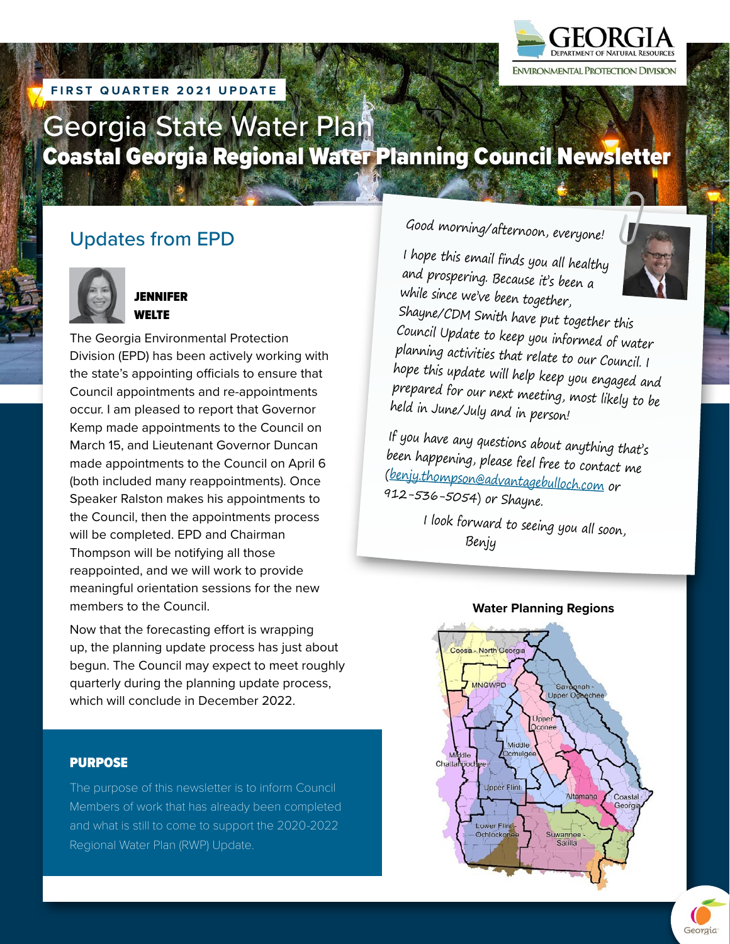

## **FIRST QUARTER 2021**

# Georgia State Water Plan Coastal Georgia Regional Water Planning Council Newsletter

# Updates from EPD



#### JENNIFER WELTE

The Georgia Environmental Protection Division (EPD) has been actively working with the state's appointing officials to ensure that Council appointments and re-appointments occur. I am pleased to report that Governor Kemp made appointments to the Council on March 15, and Lieutenant Governor Duncan made appointments to the Council on April 6 (both included many reappointments). Once Speaker Ralston makes his appointments to the Council, then the appointments process will be completed. EPD and Chairman Thompson will be notifying all those reappointed, and we will work to provide meaningful orientation sessions for the new members to the Council.

Now that the forecasting effort is wrapping up, the planning update process has just about begun. The Council may expect to meet roughly quarterly during the planning update process, which will conclude in December 2022.

#### PURPOSE

The purpose of this newsletter is to inform Council Members of work that has already been completed and what is still to come to support the 2020-2022 Regional Water Plan (RWP) Update.

# Good morning/afternoon, everyone!

I hope this email finds you all healthy and prospering. Because it's been a while since we've been together,



Shayne/CDM Smith have put together this Council Update to keep you informed of water <sup>p</sup>lanning activities that relate to our Council. I hope this update will help keep you engaged and prepared for our next meeting, most likely to be held in June/July and in person!

If you have any questions about anything that's been happening, please feel free to contact me [\(benjy.thompson@advantagebulloch.com](mailto:mailto:benjy.thompson@advantagebulloch.com) or 912-536-5054) or Shayne.

I look forward to seeing you all soon, Benjy



#### **Water Planning Regions**

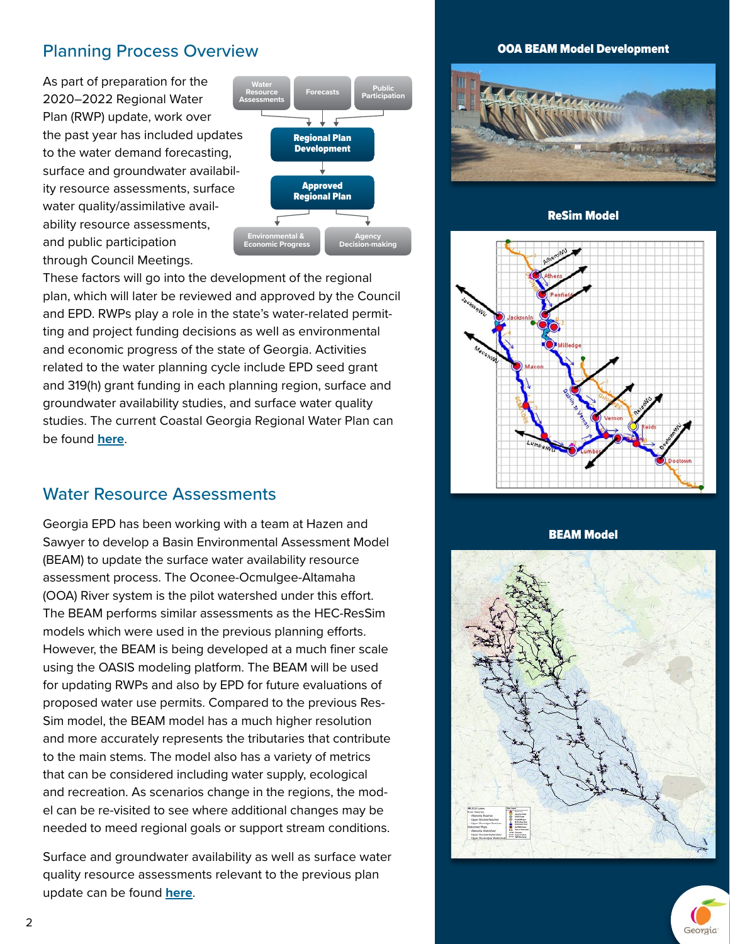# Planning Process Overview

As part of preparation for the 2020–2022 Regional Water Plan (RWP) update, work over the past year has included updates to the water demand forecasting, surface and groundwater availability resource assessments, surface water quality/assimilative availability resource assessments, and public participation through Council Meetings.



These factors will go into the development of the regional plan, which will later be reviewed and approved by the Council and EPD. RWPs play a role in the state's water-related permitting and project funding decisions as well as environmental and economic progress of the state of Georgia. Activities related to the water planning cycle include EPD seed grant and 319(h) grant funding in each planning region, surface and groundwater availability studies, and surface water quality studies. The current Coastal Georgia Regional Water Plan can be found **[here](https://waterplanning.georgia.gov/coastal-georgia-regional-water-plan)**.

## Water Resource Assessments

Georgia EPD has been working with a team at Hazen and Sawyer to develop a Basin Environmental Assessment Model (BEAM) to update the surface water availability resource assessment process. The Oconee-Ocmulgee-Altamaha (OOA) River system is the pilot watershed under this effort. The BEAM performs similar assessments as the HEC-ResSim models which were used in the previous planning efforts. However, the BEAM is being developed at a much finer scale using the OASIS modeling platform. The BEAM will be used for updating RWPs and also by EPD for future evaluations of proposed water use permits. Compared to the previous Res-Sim model, the BEAM model has a much higher resolution and more accurately represents the tributaries that contribute to the main stems. The model also has a variety of metrics that can be considered including water supply, ecological and recreation. As scenarios change in the regions, the model can be re-visited to see where additional changes may be needed to meed regional goals or support stream conditions.

Surface and groundwater availability as well as surface water quality resource assessments relevant to the previous plan update can be found **[here](https://waterplanning.georgia.gov/resource-assessments)**.

#### OOA BEAM Model Development



ReSim Model



BEAM Model



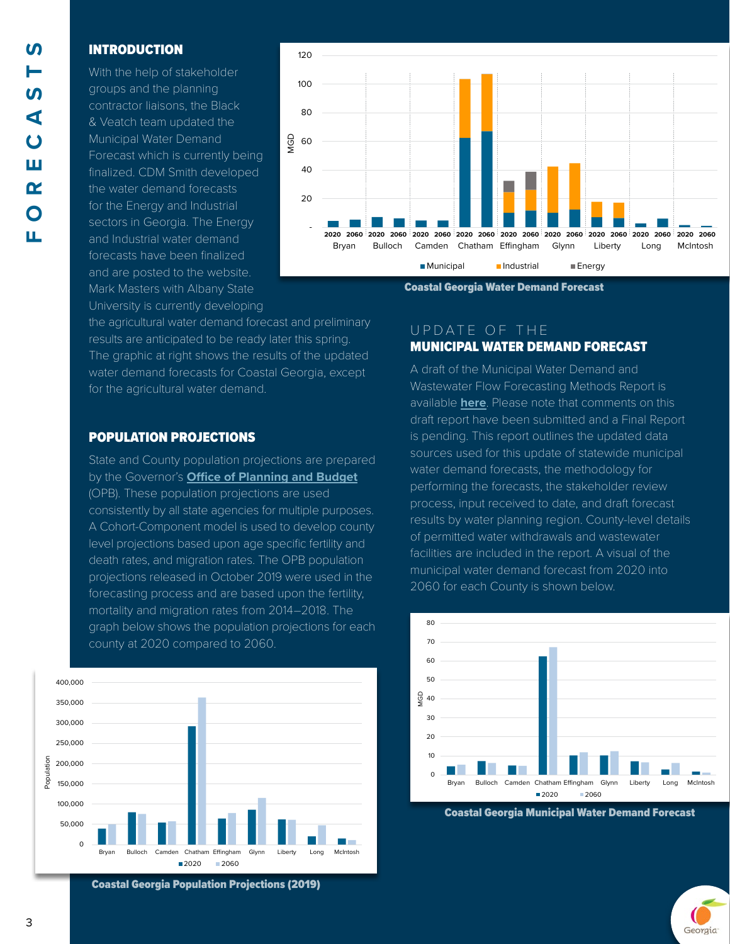#### INTRODUCTION

With the help of stakeholder groups and the planning contractor liaisons, the Black & Veatch team updated the Municipal Water Demand Forecast which is currently being finalized. CDM Smith developed the water demand forecasts for the Energy and Industrial sectors in Georgia. The Energy and Industrial water demand forecasts have been finalized and are posted to the website. Mark Masters with Albany State University is currently developing



Coastal Georgia Water Demand Forecast

the agricultural water demand forecast and preliminary results are anticipated to be ready later this spring. The graphic at right shows the results of the updated water demand forecasts for Coastal Georgia, except for the agricultural water demand.

#### POPULATION PROJECTIONS

State and County population projections are prepared by the Governor's **[Office of Planning and Budget](https://opb.georgia.gov/)** (OPB). These population projections are used consistently by all state agencies for multiple purposes. A Cohort-Component model is used to develop county level projections based upon age specific fertility and death rates, and migration rates. The OPB population projections released in October 2019 were used in the forecasting process and are based upon the fertility, mortality and migration rates from 2014–2018. The graph below shows the population projections for each county at 2020 compared to 2060.



Coastal Georgia Population Projections (2019)

#### UPDATE OF THE MUNICIPAL WATER DEMAND FORECAST

A draft of the Municipal Water Demand and Wastewater Flow Forecasting Methods Report is available **[here](https://waterplanning.georgia.gov/forecasting/municipal-water-use)**. Please note that comments on this draft report have been submitted and a Final Report is pending. This report outlines the updated data sources used for this update of statewide municipal water demand forecasts, the methodology for performing the forecasts, the stakeholder review process, input received to date, and draft forecast results by water planning region. County-level details of permitted water withdrawals and wastewater facilities are included in the report. A visual of the municipal water demand forecast from 2020 into 2060 for each County is shown below.



Coastal Georgia Municipal Water Demand Forecast

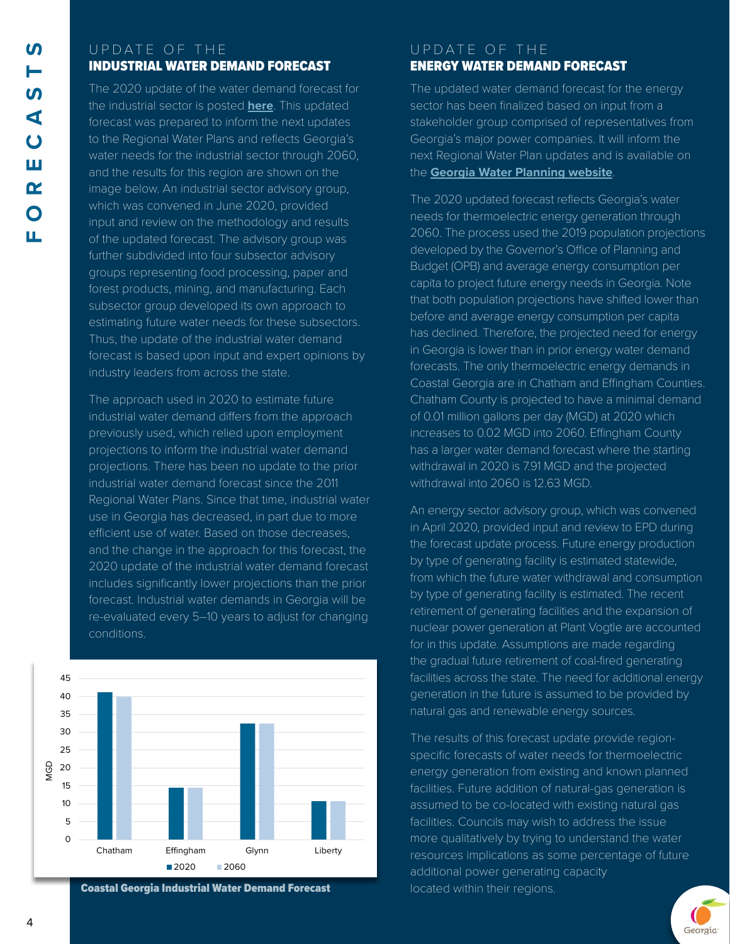### UPDATE OF THE INDUSTRIAL WATER DEMAND FORECAST

The 2020 update of the water demand forecast for the industrial sector is posted **[here](https://waterplanning.georgia.gov/forecasting/industrial-water-use)**. This updated forecast was prepared to inform the next updates to the Regional Water Plans and reflects Georgia's water needs for the industrial sector through 2060, and the results for this region are shown on the image below. An industrial sector advisory group, which was convened in June 2020, provided input and review on the methodology and results of the updated forecast. The advisory group was further subdivided into four subsector advisory groups representing food processing, paper and forest products, mining, and manufacturing. Each subsector group developed its own approach to estimating future water needs for these subsectors. Thus, the update of the industrial water demand forecast is based upon input and expert opinions by industry leaders from across the state.

The approach used in 2020 to estimate future industrial water demand differs from the approach previously used, which relied upon employment projections to inform the industrial water demand projections. There has been no update to the prior industrial water demand forecast since the 2011 Regional Water Plans. Since that time, industrial water use in Georgia has decreased, in part due to more efficient use of water. Based on those decreases, and the change in the approach for this forecast, the 2020 update of the industrial water demand forecast includes significantly lower projections than the prior forecast. Industrial water demands in Georgia will be re-evaluated every 5–10 years to adjust for changing conditions.



Coastal Georgia Industrial Water Demand Forecast

## UPDATE OF THE ENERGY WATER DEMAND FORECAST

The updated water demand forecast for the energy sector has been finalized based on input from a stakeholder group comprised of representatives from Georgia's major power companies. It will inform the next Regional Water Plan updates and is available on the **[Georgia Water Planning website](https://waterplanning.georgia.gov/energy-water-use)**.

The 2020 updated forecast reflects Georgia's water needs for thermoelectric energy generation through 2060. The process used the 2019 population projections developed by the Governor's Office of Planning and Budget (OPB) and average energy consumption per capita to project future energy needs in Georgia. Note that both population projections have shifted lower than before and average energy consumption per capita has declined. Therefore, the projected need for energy in Georgia is lower than in prior energy water demand forecasts. The only thermoelectric energy demands in Coastal Georgia are in Chatham and Effingham Counties. Chatham County is projected to have a minimal demand of 0.01 million gallons per day (MGD) at 2020 which increases to 0.02 MGD into 2060. Effingham County has a larger water demand forecast where the starting withdrawal in 2020 is 7.91 MGD and the projected withdrawal into 2060 is 12.63 MGD.

An energy sector advisory group, which was convened in April 2020, provided input and review to EPD during the forecast update process. Future energy production by type of generating facility is estimated statewide, from which the future water withdrawal and consumption by type of generating facility is estimated. The recent retirement of generating facilities and the expansion of nuclear power generation at Plant Vogtle are accounted for in this update. Assumptions are made regarding the gradual future retirement of coal-fired generating facilities across the state. The need for additional energy generation in the future is assumed to be provided by natural gas and renewable energy sources.

The results of this forecast update provide regionspecific forecasts of water needs for thermoelectric energy generation from existing and known planned facilities. Future addition of natural-gas generation is assumed to be co-located with existing natural gas facilities. Councils may wish to address the issue more qualitatively by trying to understand the water resources implications as some percentage of future additional power generating capacity located within their regions.